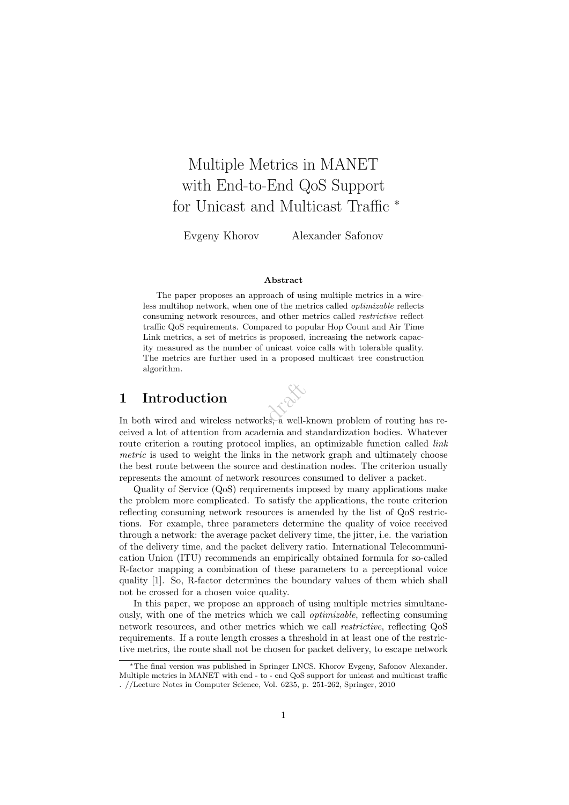## Multiple Metrics in MANET with End-to-End QoS Support for Unicast and Multicast Traffic <sup>\*</sup>

Evgeny Khorov Alexander Safonov

#### Abstract

The paper proposes an approach of using multiple metrics in a wireless multihop network, when one of the metrics called optimizable reflects consuming network resources, and other metrics called restrictive reflect traffic QoS requirements. Compared to popular Hop Count and Air Time Link metrics, a set of metrics is proposed, increasing the network capacity measured as the number of unicast voice calls with tolerable quality. The metrics are further used in a proposed multicast tree construction algorithm.

## 1 Introduction



1 Introduction<br>In both wired and wireless networks, a well-known problem of routing has received a lot of attention from academia and standardization bodies. Whatever route criterion a routing protocol implies, an optimizable function called link metric is used to weight the links in the network graph and ultimately choose the best route between the source and destination nodes. The criterion usually represents the amount of network resources consumed to deliver a packet.

Quality of Service (QoS) requirements imposed by many applications make the problem more complicated. To satisfy the applications, the route criterion reflecting consuming network resources is amended by the list of QoS restrictions. For example, three parameters determine the quality of voice received through a network: the average packet delivery time, the jitter, i.e. the variation of the delivery time, and the packet delivery ratio. International Telecommunication Union (ITU) recommends an empirically obtained formula for so-called R-factor mapping a combination of these parameters to a perceptional voice quality [1]. So, R-factor determines the boundary values of them which shall not be crossed for a chosen voice quality.

In this paper, we propose an approach of using multiple metrics simultaneously, with one of the metrics which we call optimizable, reflecting consuming network resources, and other metrics which we call restrictive, reflecting QoS requirements. If a route length crosses a threshold in at least one of the restrictive metrics, the route shall not be chosen for packet delivery, to escape network

<sup>∗</sup>The final version was published in Springer LNCS. Khorov Evgeny, Safonov Alexander. Multiple metrics in MANET with end - to - end QoS support for unicast and multicast traffic . //Lecture Notes in Computer Science, Vol. 6235, p. 251-262, Springer, 2010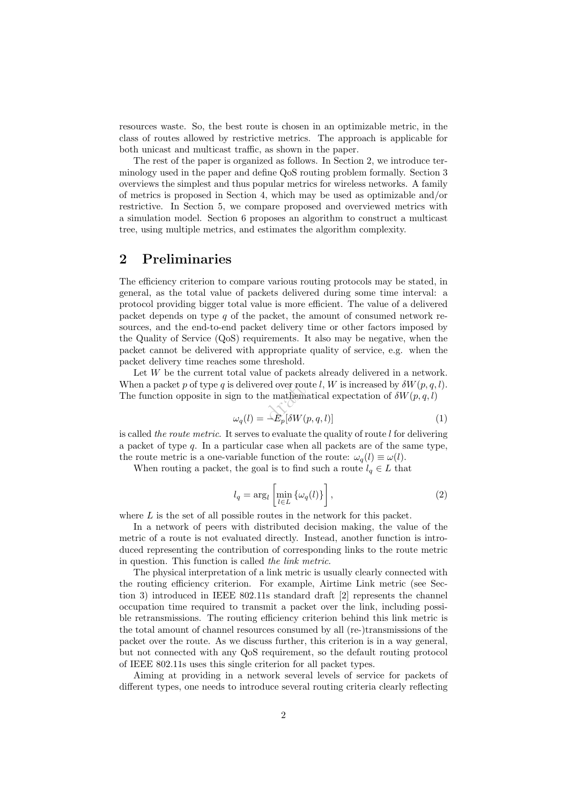resources waste. So, the best route is chosen in an optimizable metric, in the class of routes allowed by restrictive metrics. The approach is applicable for both unicast and multicast traffic, as shown in the paper.

The rest of the paper is organized as follows. In Section 2, we introduce terminology used in the paper and define QoS routing problem formally. Section 3 overviews the simplest and thus popular metrics for wireless networks. A family of metrics is proposed in Section 4, which may be used as optimizable and/or restrictive. In Section 5, we compare proposed and overviewed metrics with a simulation model. Section 6 proposes an algorithm to construct a multicast tree, using multiple metrics, and estimates the algorithm complexity.

## 2 Preliminaries

The efficiency criterion to compare various routing protocols may be stated, in general, as the total value of packets delivered during some time interval: a protocol providing bigger total value is more efficient. The value of a delivered packet depends on type  $q$  of the packet, the amount of consumed network resources, and the end-to-end packet delivery time or other factors imposed by the Quality of Service (QoS) requirements. It also may be negative, when the packet cannot be delivered with appropriate quality of service, e.g. when the packet delivery time reaches some threshold.

ed over rou $e$ <br>mathema $-E_n[\delta W(p$ Let  $W$  be the current total value of packets already delivered in a network. When a packet p of type q is delivered over route l, W is increased by  $\delta W(p,q,l)$ . The function opposite in sign to the mathematical expectation of  $\delta W(p,q,l)$ 

$$
\omega_q(l) = -\hat{E}_p[\delta W(p, q, l)]\tag{1}
$$

is called the route metric. It serves to evaluate the quality of route  $l$  for delivering a packet of type  $q$ . In a particular case when all packets are of the same type, the route metric is a one-variable function of the route:  $\omega_q(l) \equiv \omega(l)$ .

When routing a packet, the goal is to find such a route  $l_q \in L$  that

$$
l_q = \arg_l \left[ \min_{l \in L} \{ \omega_q(l) \} \right],\tag{2}
$$

where  $L$  is the set of all possible routes in the network for this packet.

In a network of peers with distributed decision making, the value of the metric of a route is not evaluated directly. Instead, another function is introduced representing the contribution of corresponding links to the route metric in question. This function is called the link metric.

The physical interpretation of a link metric is usually clearly connected with the routing efficiency criterion. For example, Airtime Link metric (see Section 3) introduced in IEEE 802.11s standard draft [2] represents the channel occupation time required to transmit a packet over the link, including possible retransmissions. The routing efficiency criterion behind this link metric is the total amount of channel resources consumed by all (re-)transmissions of the packet over the route. As we discuss further, this criterion is in a way general, but not connected with any QoS requirement, so the default routing protocol of IEEE 802.11s uses this single criterion for all packet types.

Aiming at providing in a network several levels of service for packets of different types, one needs to introduce several routing criteria clearly reflecting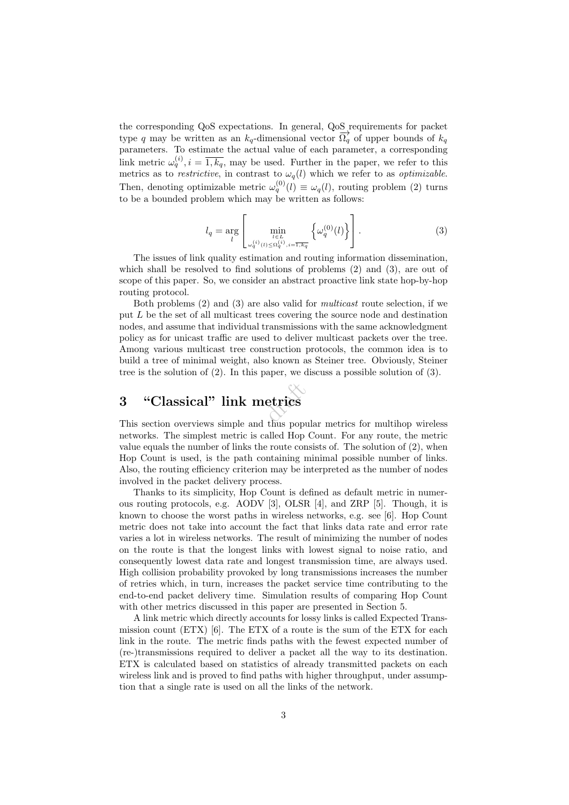the corresponding QoS expectations. In general, QoS requirements for packet type q may be written as an  $k_q$ -dimensional vector  $\overrightarrow{\Omega_q}$  of upper bounds of  $k_q$ parameters. To estimate the actual value of each parameter, a corresponding link metric  $\omega_q^{(i)}$ ,  $i = \overline{1, k_q}$ , may be used. Further in the paper, we refer to this metrics as to *restrictive*, in contrast to  $\omega_q(l)$  which we refer to as *optimizable*. Then, denoting optimizable metric  $\omega_q^{(0)}(l) \equiv \omega_q(l)$ , routing problem (2) turns to be a bounded problem which may be written as follows:

$$
l_q = \underset{l}{\arg} \left[ \underset{\omega_q^{(i)}(l) \le \Omega_q^{(i)}, i = \overline{1, k_q}}{\min} \left\{ \omega_q^{(0)}(l) \right\} \right]. \tag{3}
$$

The issues of link quality estimation and routing information dissemination, which shall be resolved to find solutions of problems  $(2)$  and  $(3)$ , are out of scope of this paper. So, we consider an abstract proactive link state hop-by-hop routing protocol.

Both problems (2) and (3) are also valid for multicast route selection, if we put L be the set of all multicast trees covering the source node and destination nodes, and assume that individual transmissions with the same acknowledgment policy as for unicast traffic are used to deliver multicast packets over the tree. Among various multicast tree construction protocols, the common idea is to build a tree of minimal weight, also known as Steiner tree. Obviously, Steiner tree is the solution of  $(2)$ . In this paper, we discuss a possible solution of  $(3)$ .

# etrics 3 "Classical" link metrics

This section overviews simple and thus popular metrics for multihop wireless networks. The simplest metric is called Hop Count. For any route, the metric value equals the number of links the route consists of. The solution of  $(2)$ , when Hop Count is used, is the path containing minimal possible number of links. Also, the routing efficiency criterion may be interpreted as the number of nodes involved in the packet delivery process.

Thanks to its simplicity, Hop Count is defined as default metric in numerous routing protocols, e.g. AODV [3], OLSR [4], and ZRP [5]. Though, it is known to choose the worst paths in wireless networks, e.g. see [6]. Hop Count metric does not take into account the fact that links data rate and error rate varies a lot in wireless networks. The result of minimizing the number of nodes on the route is that the longest links with lowest signal to noise ratio, and consequently lowest data rate and longest transmission time, are always used. High collision probability provoked by long transmissions increases the number of retries which, in turn, increases the packet service time contributing to the end-to-end packet delivery time. Simulation results of comparing Hop Count with other metrics discussed in this paper are presented in Section 5.

A link metric which directly accounts for lossy links is called Expected Transmission count  $(ETX)$  [6]. The ETX of a route is the sum of the ETX for each link in the route. The metric finds paths with the fewest expected number of (re-)transmissions required to deliver a packet all the way to its destination. ETX is calculated based on statistics of already transmitted packets on each wireless link and is proved to find paths with higher throughput, under assumption that a single rate is used on all the links of the network.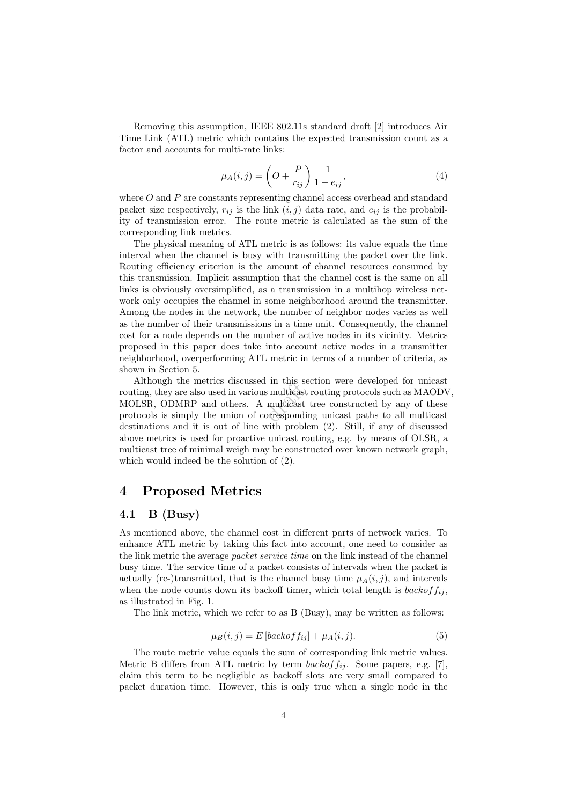Removing this assumption, IEEE 802.11s standard draft [2] introduces Air Time Link (ATL) metric which contains the expected transmission count as a factor and accounts for multi-rate links:

$$
\mu_A(i,j) = \left(O + \frac{P}{r_{ij}}\right) \frac{1}{1 - e_{ij}},\tag{4}
$$

where O and P are constants representing channel access overhead and standard packet size respectively,  $r_{ij}$  is the link  $(i, j)$  data rate, and  $e_{ij}$  is the probability of transmission error. The route metric is calculated as the sum of the corresponding link metrics.

The physical meaning of ATL metric is as follows: its value equals the time interval when the channel is busy with transmitting the packet over the link. Routing efficiency criterion is the amount of channel resources consumed by this transmission. Implicit assumption that the channel cost is the same on all links is obviously oversimplified, as a transmission in a multihop wireless network only occupies the channel in some neighborhood around the transmitter. Among the nodes in the network, the number of neighbor nodes varies as well as the number of their transmissions in a time unit. Consequently, the channel cost for a node depends on the number of active nodes in its vicinity. Metrics proposed in this paper does take into account active nodes in a transmitter neighborhood, overperforming ATL metric in terms of a number of criteria, as shown in Section 5.

routing, they are also used in various multicast routing protocols such as MAODV, MOLSR, ODMRP and others. A multicast tree constructed by any of these protocols is simply the union of corresponding unicast paths to all mu Although the metrics discussed in this section were developed for unicast MOLSR, ODMRP and others. A multicast tree constructed by any of these protocols is simply the union of corresponding unicast paths to all multicast destinations and it is out of line with problem (2). Still, if any of discussed above metrics is used for proactive unicast routing, e.g. by means of OLSR, a multicast tree of minimal weigh may be constructed over known network graph, which would indeed be the solution of (2).

## 4 Proposed Metrics

#### 4.1 B (Busy)

As mentioned above, the channel cost in different parts of network varies. To enhance ATL metric by taking this fact into account, one need to consider as the link metric the average *packet service time* on the link instead of the channel busy time. The service time of a packet consists of intervals when the packet is actually (re-)transmitted, that is the channel busy time  $\mu_A(i,j)$ , and intervals when the node counts down its backoff timer, which total length is  $backoff_{ij}$ . as illustrated in Fig. 1.

The link metric, which we refer to as B (Busy), may be written as follows:

$$
\mu_B(i,j) = E\left[backof_{ij}\right] + \mu_A(i,j). \tag{5}
$$

The route metric value equals the sum of corresponding link metric values. Metric B differs from ATL metric by term  $backoff_{ij}$ . Some papers, e.g. [7], claim this term to be negligible as backoff slots are very small compared to packet duration time. However, this is only true when a single node in the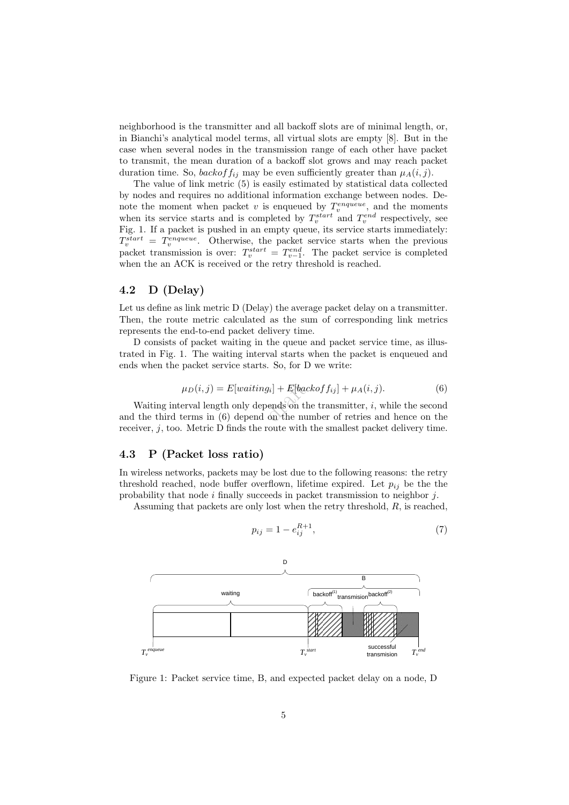neighborhood is the transmitter and all backoff slots are of minimal length, or, in Bianchi's analytical model terms, all virtual slots are empty [8]. But in the case when several nodes in the transmission range of each other have packet to transmit, the mean duration of a backoff slot grows and may reach packet duration time. So, backof  $f_{ij}$  may be even sufficiently greater than  $\mu_A(i, j)$ .

The value of link metric (5) is easily estimated by statistical data collected by nodes and requires no additional information exchange between nodes. Denote the moment when packet v is enqueued by  $T_v^{engineue}$ , and the moments when its service starts and is completed by  $T_v^{start}$  and  $T_v^{end}$  respectively, see Fig. 1. If a packet is pushed in an empty queue, its service starts immediately:  $T_v^{start} = T_v^{engineue}$ . Otherwise, the packet service starts when the previous packet transmission is over:  $T_v^{start} = T_{v-1}^{end}$ . The packet service is completed when the an ACK is received or the retry threshold is reached.

### 4.2 D (Delay)

Let us define as link metric D (Delay) the average packet delay on a transmitter. Then, the route metric calculated as the sum of corresponding link metrics represents the end-to-end packet delivery time.

D consists of packet waiting in the queue and packet service time, as illustrated in Fig. 1. The waiting interval starts when the packet is enqueued and ends when the packet service starts. So, for D we write:

$$
\mu_D(i,j) = E[waiting_i] + E[backoff_{ij}] + \mu_A(i,j). \tag{6}
$$

 $[g_i] + E[bac$ <br>pends on the number Waiting interval length only depends on the transmitter,  $i$ , while the second and the third terms in (6) depend on the number of retries and hence on the receiver, j, too. Metric D finds the route with the smallest packet delivery time.

#### 4.3 P (Packet loss ratio)

In wireless networks, packets may be lost due to the following reasons: the retry threshold reached, node buffer overflown, lifetime expired. Let  $p_{ij}$  be the the probability that node  $i$  finally succeeds in packet transmission to neighbor  $j$ .

Assuming that packets are only lost when the retry threshold, R, is reached,

$$
p_{ij} = 1 - e_{ij}^{R+1},\tag{7}
$$



Figure 1: Packet service time, B, and expected packet delay on a node, D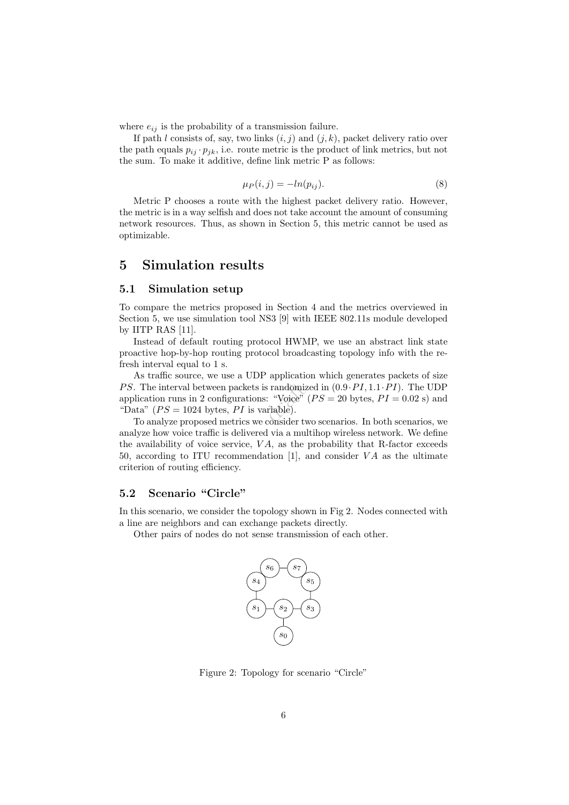where  $e_{ij}$  is the probability of a transmission failure.

If path l consists of, say, two links  $(i, j)$  and  $(j, k)$ , packet delivery ratio over the path equals  $p_{ij} \cdot p_{jk}$ , i.e. route metric is the product of link metrics, but not the sum. To make it additive, define link metric P as follows:

$$
\mu_P(i,j) = -\ln(p_{ij}).\tag{8}
$$

Metric P chooses a route with the highest packet delivery ratio. However, the metric is in a way selfish and does not take account the amount of consuming network resources. Thus, as shown in Section 5, this metric cannot be used as optimizable.

## 5 Simulation results

#### 5.1 Simulation setup

To compare the metrics proposed in Section 4 and the metrics overviewed in Section 5, we use simulation tool NS3 [9] with IEEE 802.11s module developed by IITP RAS [11].

Instead of default routing protocol HWMP, we use an abstract link state proactive hop-by-hop routing protocol broadcasting topology info with the refresh interval equal to 1 s.

s randomize:<br>Si "Voice" (<br>ariable).<br>consider ty As traffic source, we use a UDP application which generates packets of size PS. The interval between packets is randomized in  $(0.9 \cdot PI, 1.1 \cdot PI)$ . The UDP application runs in 2 configurations: "Voice" ( $PS = 20$  bytes,  $PI = 0.02$  s) and "Data"  $(PS = 1024$  bytes, PI is variable).

To analyze proposed metrics we consider two scenarios. In both scenarios, we analyze how voice traffic is delivered via a multihop wireless network. We define the availability of voice service,  $VA$ , as the probability that R-factor exceeds 50, according to ITU recommendation [1], and consider  $VA$  as the ultimate criterion of routing efficiency.

#### 5.2 Scenario "Circle"

In this scenario, we consider the topology shown in Fig 2. Nodes connected with a line are neighbors and can exchange packets directly.

Other pairs of nodes do not sense transmission of each other.



Figure 2: Topology for scenario "Circle"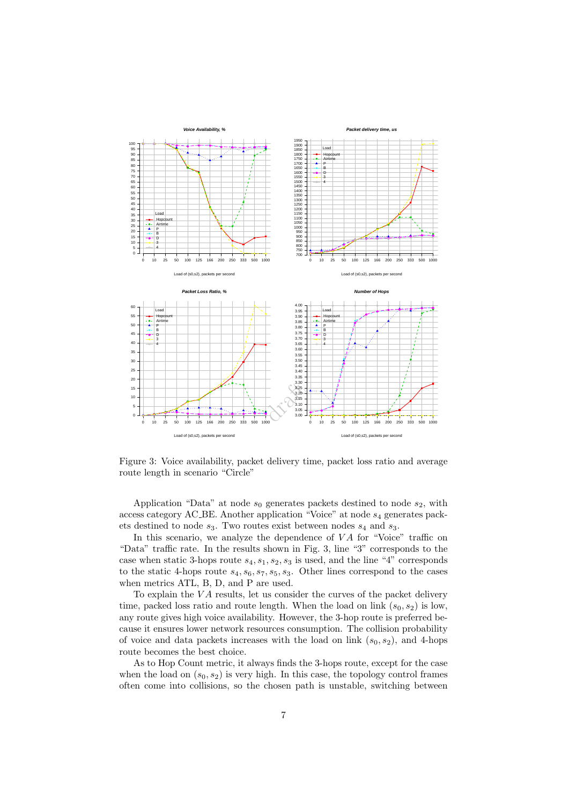

Figure 3: Voice availability, packet delivery time, packet loss ratio and average route length in scenario "Circle"

Application "Data" at node  $s_0$  generates packets destined to node  $s_2$ , with access category AC\_BE. Another application "Voice" at node  $s_4$  generates packets destined to node  $s_3$ . Two routes exist between nodes  $s_4$  and  $s_3$ .

In this scenario, we analyze the dependence of  $VA$  for "Voice" traffic on "Data" traffic rate. In the results shown in Fig. 3, line "3" corresponds to the case when static 3-hops route  $s_4$ ,  $s_1$ ,  $s_2$ ,  $s_3$  is used, and the line "4" corresponds to the static 4-hops route  $s_4, s_6, s_7, s_5, s_3$ . Other lines correspond to the cases when metrics ATL, B, D, and P are used.

To explain the  $VA$  results, let us consider the curves of the packet delivery time, packed loss ratio and route length. When the load on link  $(s_0, s_2)$  is low, any route gives high voice availability. However, the 3-hop route is preferred because it ensures lower network resources consumption. The collision probability of voice and data packets increases with the load on link  $(s_0, s_2)$ , and 4-hops route becomes the best choice.

As to Hop Count metric, it always finds the 3-hops route, except for the case when the load on  $(s_0, s_2)$  is very high. In this case, the topology control frames often come into collisions, so the chosen path is unstable, switching between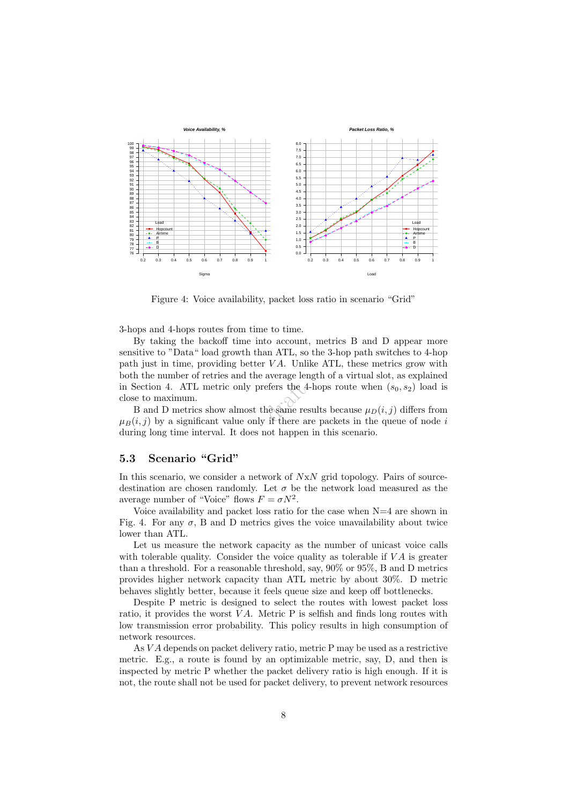

Figure 4: Voice availability, packet loss ratio in scenario "Grid"

3-hops and 4-hops routes from time to time.

in Section 4. ATL metric only prefers the 4-hops route when  $(s_0, s_2)$  load is<br>close to maximum.<br>B and D metrics show almost the same results because  $\mu_D(i, j)$  differs from<br> $\mu_D(i, j)$  by a significant value only if there a By taking the backoff time into account, metrics B and D appear more sensitive to "Data" load growth than ATL, so the 3-hop path switches to 4-hop path just in time, providing better  $VA$ . Unlike ATL, these metrics grow with both the number of retries and the average length of a virtual slot, as explained close to maximum.

B and D metrics show almost the same results because  $\mu_D(i, j)$  differs from  $\mu_B(i, j)$  by a significant value only if there are packets in the queue of node i during long time interval. It does not happen in this scenario.

### 5.3 Scenario "Grid"

In this scenario, we consider a network of  $NxN$  grid topology. Pairs of sourcedestination are chosen randomly. Let  $\sigma$  be the network load measured as the average number of "Voice" flows  $F = \sigma N^2$ .

Voice availability and packet loss ratio for the case when N=4 are shown in Fig. 4. For any  $\sigma$ , B and D metrics gives the voice unavailability about twice lower than ATL.

Let us measure the network capacity as the number of unicast voice calls with tolerable quality. Consider the voice quality as tolerable if  $VA$  is greater than a threshold. For a reasonable threshold, say, 90% or 95%, B and D metrics provides higher network capacity than ATL metric by about 30%. D metric behaves slightly better, because it feels queue size and keep off bottlenecks.

Despite P metric is designed to select the routes with lowest packet loss ratio, it provides the worst  $VA$ . Metric P is selfish and finds long routes with low transmission error probability. This policy results in high consumption of network resources.

As V A depends on packet delivery ratio, metric P may be used as a restrictive metric. E.g., a route is found by an optimizable metric, say, D, and then is inspected by metric P whether the packet delivery ratio is high enough. If it is not, the route shall not be used for packet delivery, to prevent network resources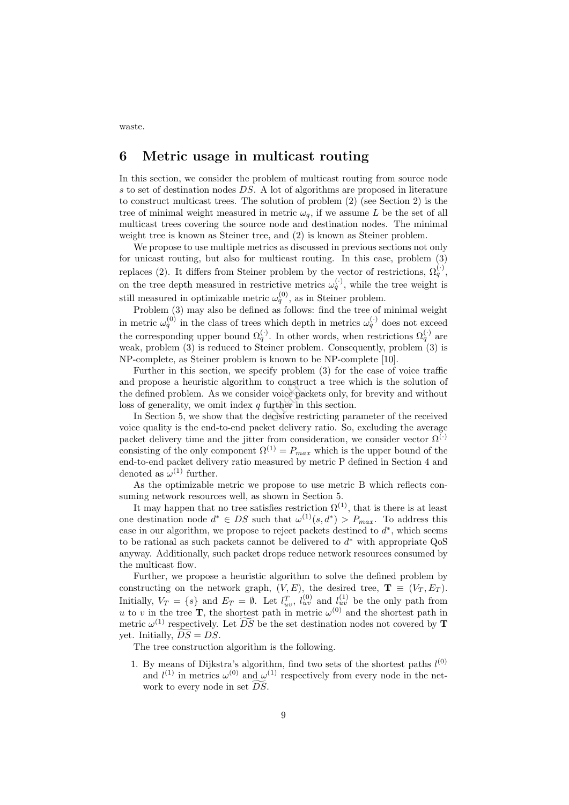6 Metric usage in multicast routing

In this section, we consider the problem of multicast routing from source node s to set of destination nodes DS. A lot of algorithms are proposed in literature to construct multicast trees. The solution of problem (2) (see Section 2) is the tree of minimal weight measured in metric  $\omega_q$ , if we assume L be the set of all multicast trees covering the source node and destination nodes. The minimal weight tree is known as Steiner tree, and (2) is known as Steiner problem.

We propose to use multiple metrics as discussed in previous sections not only for unicast routing, but also for multicast routing. In this case, problem (3) replaces (2). It differs from Steiner problem by the vector of restrictions,  $\Omega_q^{(\cdot)}$ , on the tree depth measured in restrictive metrics  $\omega_q^{(\cdot)}$ , while the tree weight is still measured in optimizable metric  $\omega_q^{(0)}$ , as in Steiner problem.

Problem  $(3)$  may also be defined as follows: find the tree of minimal weight in metric  $\omega_q^{(0)}$  in the class of trees which depth in metrics  $\omega_q^{(\cdot)}$  does not exceed the corresponding upper bound  $\Omega_q^{(\cdot)}$ . In other words, when restrictions  $\Omega_q^{(\cdot)}$  are weak, problem (3) is reduced to Steiner problem. Consequently, problem (3) is NP-complete, as Steiner problem is known to be NP-complete [10].

to construe<br>er voice pac<br>further in t<br>decisive res Further in this section, we specify problem (3) for the case of voice traffic and propose a heuristic algorithm to construct a tree which is the solution of the defined problem. As we consider voice packets only, for brevity and without loss of generality, we omit index  $q$  further in this section.

In Section 5, we show that the decisive restricting parameter of the received voice quality is the end-to-end packet delivery ratio. So, excluding the average packet delivery time and the jitter from consideration, we consider vector  $\Omega^{(\cdot)}$ consisting of the only component  $\Omega^{(1)} = P_{max}$  which is the upper bound of the end-to-end packet delivery ratio measured by metric P defined in Section 4 and denoted as  $\omega^{(1)}$  further.

As the optimizable metric we propose to use metric B which reflects consuming network resources well, as shown in Section 5.

It may happen that no tree satisfies restriction  $\Omega^{(1)}$ , that is there is at least one destination node  $d^* \in DS$  such that  $\omega^{(1)}(s, d^*) > P_{max}$ . To address this case in our algorithm, we propose to reject packets destined to  $d^*$ , which seems to be rational as such packets cannot be delivered to  $d^*$  with appropriate  $QoS$ anyway. Additionally, such packet drops reduce network resources consumed by the multicast flow.

Further, we propose a heuristic algorithm to solve the defined problem by constructing on the network graph,  $(V, E)$ , the desired tree,  $\mathbf{T} \equiv (V_T, E_T)$ . Initially,  $V_T = \{s\}$  and  $E_T = \emptyset$ . Let  $l_{uv}^T$ ,  $l_{uv}^{(0)}$  and  $l_{uv}^{(1)}$  be the only path from u to v in the tree **T**, the shortest path in metric  $\omega^{(0)}$  and the shortest path in metric  $\omega^{(1)}$  respectively. Let  $\overline{DS}$  be the set destination nodes not covered by **T** yet. Initially,  $DS = DS$ .

The tree construction algorithm is the following.

1. By means of Dijkstra's algorithm, find two sets of the shortest paths  $l^{(0)}$ and  $l^{(1)}$  in metrics  $\omega^{(0)}$  and  $\omega^{(1)}$  respectively from every node in the network to every node in set  $\widetilde{DS}$ .

waste.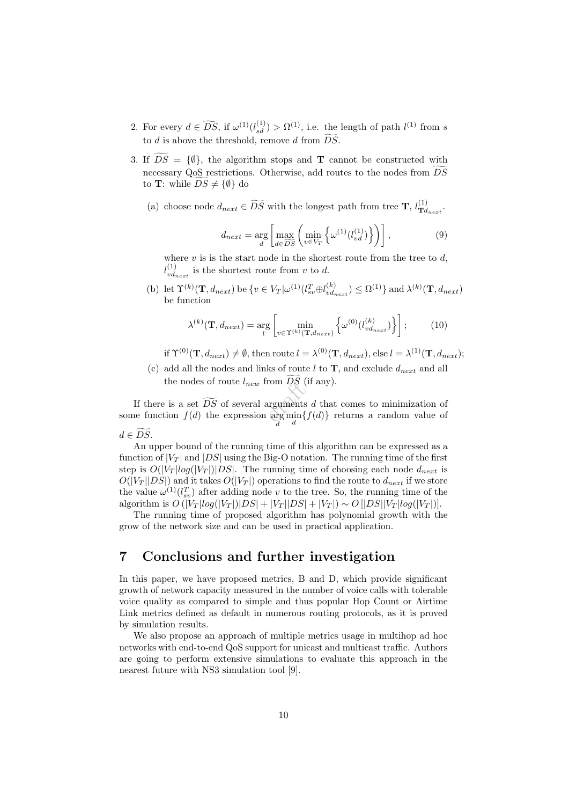- 2. For every  $d \in \widetilde{DS}$ , if  $\omega^{(1)}(l_{sd}^{(1)}) > \Omega^{(1)}$ , i.e. the length of path  $l^{(1)}$  from s to d is above the threshold, remove d from  $\widetilde{DS}$ .
- 3. If  $\overline{DS} = {\emptyset}$ , the algorithm stops and **T** cannot be constructed with necessary QoS restrictions. Otherwise, add routes to the nodes from  $DS$ to **T**: while  $DS \neq {\emptyset}$  do
	- (a) choose node  $d_{next} \in \widetilde{DS}$  with the longest path from tree **T**,  $l_{\mathbf{Td}}^{(1)}$  $\mathbf{T}^{(1)}_{d_{next}}$  .

$$
d_{next} = \underset{d}{\arg} \left[ \underset{d \in \widetilde{DS}}{\max} \left( \underset{v \in V_T}{\min} \left\{ \omega^{(1)}(l_{vd}^{(1)}) \right\} \right) \right],\tag{9}
$$

where  $v$  is is the start node in the shortest route from the tree to  $d$ ,  $l_{v,d}^{(1)}$  $\frac{d^{(1)}}{v_{\text{direct}}}$  is the shortest route from v to d.

(b) let  $\Upsilon^{(k)}(\mathbf{T}, d_{next})$  be  $\{v \in V_T | \omega^{(1)}(l_{sv}^T \oplus l_{vd}^{(k)})\}$  $\langle v_{v}^{(k)} \rangle \leq \Omega^{(1)}$ } and  $\lambda^{(k)}(\mathbf{T}, d_{next})$ be function

$$
\lambda^{(k)}(\mathbf{T}, d_{next}) = \underset{l}{\arg} \left[ \underset{v \in \Upsilon^{(k)}(\mathbf{T}, d_{next})}{\min} \left\{ \omega^{(0)}(l_{vd_{next}}^{(k)}) \right\} \right];\tag{10}
$$

if  $\Upsilon^{(0)}(\mathbf{T}, d_{next}) \neq \emptyset$ , then route  $l = \lambda^{(0)}(\mathbf{T}, d_{next})$ , else  $l = \lambda^{(1)}(\mathbf{T}, d_{next})$ ;

(c) add all the nodes and links of route  $l$  to  $\mathbf{T}$ , and exclude  $d_{next}$  and all the nodes of route  $l_{new}$  from  $\widetilde{DS}$  (if any).

If there is a set  $\widetilde{DS}$  of several arguments d that comes to minimization of<br>some function  $f(d)$  the expression  $\arg\min_d \{f(d)\}\)$  returns a random value of If there is a set  $DS$  of several arguments d that comes to minimization of  $d \in \widetilde{DS}.$ 

An upper bound of the running time of this algorithm can be expressed as a function of  $|V_T|$  and  $|DS|$  using the Big-O notation. The running time of the first step is  $O(|V_T|log(|V_T|)|DS)$ . The running time of choosing each node  $d_{next}$  is  $O(|V_T| |DS|)$  and it takes  $O(|V_T|)$  operations to find the route to  $d_{next}$  if we store the value  $\omega^{(1)}(l_{sv}^T)$  after adding node v to the tree. So, the running time of the

grow of the network size and can be used in practical application.

7 Conclusions and further investigation

algorithm is  $O(|V_T|log(|V_T|)|DS| + |V_T| |DS| + |V_T|) \sim O[|DS||V_T|log(|V_T|)].$ The running time of proposed algorithm has polynomial growth with the

In this paper, we have proposed metrics, B and D, which provide significant growth of network capacity measured in the number of voice calls with tolerable voice quality as compared to simple and thus popular Hop Count or Airtime Link metrics defined as default in numerous routing protocols, as it is proved by simulation results.

We also propose an approach of multiple metrics usage in multihop ad hoc networks with end-to-end QoS support for unicast and multicast traffic. Authors are going to perform extensive simulations to evaluate this approach in the nearest future with NS3 simulation tool [9].